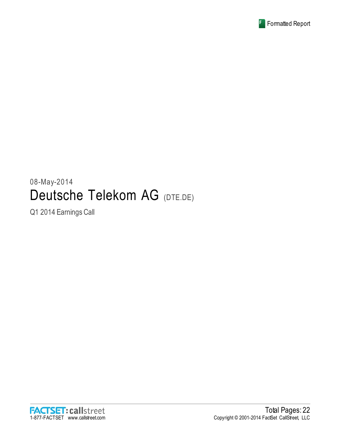

# 08-May-2014 Deutsche Telekom AG (DTE.DE)

Q1 2014 Earnings Call

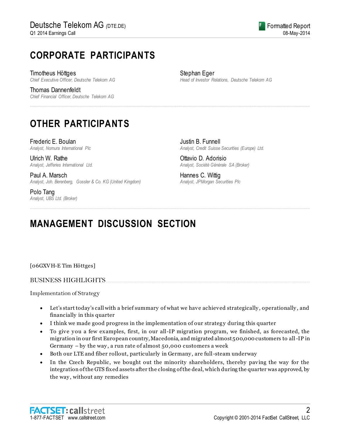## **CORPORATE PARTICIPANTS**

Timotheus Höttges *Chief Executive Officer, Deutsche Telekom AG*

Thomas Dannenfeldt *Chief Financial Officer, Deutsche Telekom AG* Stephan Eger *Head of Investor Relations, Deutsche Telekom AG*

## **OTHER PARTICIPANTS**

Frederic E. Boulan *Analyst, Nomura International Plc*

Ulrich W. Rathe *Analyst, Jefferies International Ltd.*

Paul A. Marsch *Analyst, Joh. Berenberg, Gossler & Co. KG (United Kingdom)*

Polo Tang *Analyst, UBS Ltd. (Broker)* Justin B. Funnell *Analyst, Credit Suisse Securities (Europe) Ltd.*

Ottavio D. Adorisio *Analyst, Société Générale SA (Broker)*

Hannes C. Wittig *Analyst, JPMorgan Securities Plc*

## **MANAGEMENT DISCUSSION SECTION**

[06GXVH-E Tim Höttges]

### BUSINESS HIGHLIGHTS.......

Implementation of Strategy

 Let's start today's call with a brief summary of what we have achieved strategically , operationally , and financially in this quarter

................................................................................................................................................................................................................................

................................................................................................................................................................................................................................

- I think we made good progress in the implementation of our strategy during this quarter
- To give you a few examples, first, in our all-IP migration program, we finished, as forecasted, the migration in our first European country, Macedonia, and migrated almost 500,000 customers to all-IP in Germany – by the way , a run rate of almost 50,000 customers a week
- Both our LTE and fiber rollout, particularly in Germany , are full-steam underway
- In the Czech Republic, we bought out the minority shareholders, thereby paving the way for the integration of the GTS fixed assets after the closing of the deal, which during the quarter was approved, by the way , without any remedies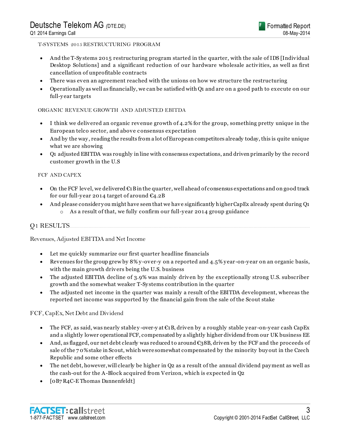#### T-SYSTEMS 2015 RESTRUCTURING PROGRAM

- And the T-Sy stems 2015 restructuring program started in the quarter, with the sale of IDS [Individual Desktop Solutions] and a significant reduction of our hardware wholesale activities, as well as first cancellation of unprofitable contracts
- There was even an agreement reached with the unions on how we structure the restructuring
- Operationally as well as financially, we can be satisfied with Q1 and are on a good path to execute on our full-y ear targets

### ORGANIC REVENUE GROWTH AND ADJUSTED EBITDA

- I think we delivered an organic revenue growth of 4.2% for the group, something pretty unique in the European telco sector, and above c onsensus expectation
- And by the way , reading the results from a lot of European competitors already today, this is quite unique what we are showing
- Q1 adjusted EBITDA was roughly in line with consensus expectations, and driven primarily by the record customer growth in the U.S

#### FCF AND CAPEX

- On the FCF level, we delivered €1B in the quarter, well ahead of consensus expectations and on good track for our full-year 2014 target of around  $C<sub>4.2B</sub>$
- And please consider you might have seen that we have significantly higher CapEx already spent during Q1 o As a result of that, we fully confirm our full-y ear 2014 group guidance

### **O1 RESULTS...**

Revenues, Adjusted EBITDA and Net Income

- Let me quickly summarize our first quarter headline financials
- Revenues for the group grew by 8% y -over-y on a reported and 4.5% y ear-on-y ear on an organic basis, with the main growth drivers being the U.S. business
- The adjusted EBITDA decline of 3.9% was mainly driven by the exceptionally strong U.S. subscriber growth and the somewhat weaker T-Sy stems contribution in the quarter
- The adjusted net income in the quarter was mainly a result of the EBITDA development, whereas the reported net income was supported by the financial gain from the sale of the Scout stake

FCF, CapEx, Net Debt and Dividend

- The FCF, as said, was nearly stable y-over-y at  $\epsilon_1$ B, driven by a roughly stable y ear-on-y ear cash CapEx and a slightly lower operational FCF, compensated by a slightly higher dividend from our UK business EE
- And, as flagged, our net debt clearly was reduced to around  $\epsilon_38B$ , driven by the FCF and the proceeds of sale of the 7 0% stake in Scout, which were somewhat compensated by the minority buy out in the Czech Republic and some other effects
- The net debt, however, will clearly be higher in Q2 as a result of the annual dividend payment as well as the cash-out for the A-Block acquired from Verizon, which is expected in Q2
- [0B7 R4C-E Thomas Dannenfeldt]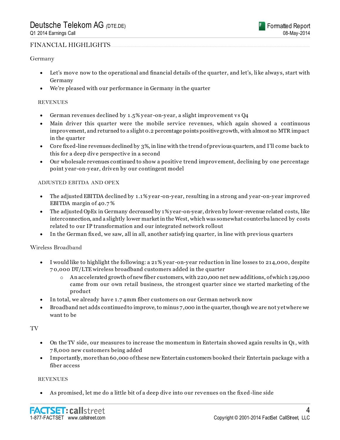#### Germany

- Let's move now to the operational and financial details of the quarter, and let's, like always, start with Germany
- We're pleased with our performance in Germany in the quarter

#### REVENUES

- German revenues declined by 1.5% y ear -on-y ear, a slight improvement vs Q4
- Main driver this quarter were the mobile service revenues, which again showed a continuous improvement, and returned to a slight 0.2 percentage points positive growth, with almost no MTR impact in the quarter
- Core fixed-line revenues declined by 3%, in line with the trend of previous quarters, and I'll come back to this for a deep dive perspective in a second
- Our wholesale revenues continued to show a positive trend improvement, declining by one percentage point y ear-on-y ear, driven by our contingent model

#### ADJUSTED EBITDA AND OPEX

- The adjusted EBITDA declined by 1.1% year-on-year, resulting in a strong and year-on-year improved EBITDA margin of 40.7 %
- The adjusted OpEx in Germany decreased by 1% y ear-on-year, driven by lower-revenue related costs, like interconnection, and a slightly lower market in the West, which was somewhat counterba lanced by costs related to our IP transformation and our integrated network rollout
- In the German fixed, we saw, all in all, another satisfy ing quarter, in line with previous quarters

Wireless Broadband

- I would like to highlight the following: a 21% y ear -on-y ear reduction in line losses to 214,000, despite 7 0,000 DT/LTE wireless broadband customers added in the quarter
	- o An accelerated growth of new fiber customers, with 220,000 net new additions, of which 129,000 came from our own retail business, the strongest quarter since we started marketing of the product
- In total, we already have 1.7 4mm fiber customers on our German network now
- Broadband net adds continued to improve, to minus 7,000 in the quarter, though we are not y et where we want to be

TV

- On the TV side, our measures to increase the momentum in Entertain showed again results in Q1, with 7 8,000 new customers being added
- Importantly, more than 60,000 of these new Entertain customers booked their Entertain package with a fiber access

#### **REVENUES**

As promised, let me do a little bit of a deep dive into our revenues on the fixed-line side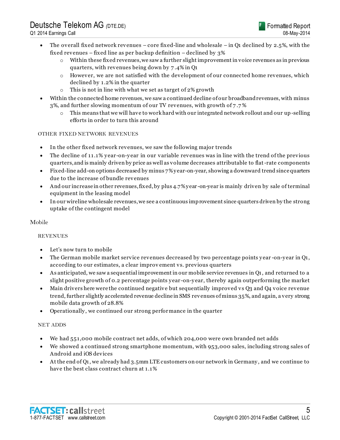

- The overall fixed network revenues core fixed-line and wholesale in Q1 declined by 2.5%, with the fixed revenues – fixed line as per backup definition – declined by 3%
	- $\circ$  Within these fixed revenues, we saw a further slight improvement in voice revenues as in previous quarters, with revenues being down by 7 .4% in Q1
	- o However, we are not satisfied with the development of our connected home revenues, which declined by 1.2% in the quarter
	- o This is not in line with what we set as target of 2% growth
- Within the connected home revenues, we saw a continued decline of our broadband revenues, with minus 3%, and further slowing momentum of our TV revenues, with growth of 7 .7 %
	- $\circ$  This means that we will have to work hard with our integrated network rollout and our up-selling efforts in order to turn this around

### OTHER FIXED NETWORK REVENUES

- In the other fixed network revenues, we saw the following major trends
- The decline of 11.1% y ear-on-y ear in our variable revenues was in line with the trend of the previous quarters, and is mainly driven by price as well as volume decreases attributable to flat-rate components
- Fixed-line add-on options decreased by minus 7% y ear-on-year, showing a downward trend since quarters due to the increase of bundle revenues
- And our increase in other revenues, fixed, by plus 4.7% y ear -on-year is mainly driven by sale of terminal equipment in the leasing model
- In our wireline wholesale revenues, we see a continuous improvement since quarters driven by the strong uptake of the contingent model

#### Mobile

#### REVENUES

- Let's now turn to mobile
- The German mobile market service revenues decreased by two percentage points year-on-year in Q1, according to our estimates, a clear improv ement vs. previous quarters
- As anticipated, we saw a sequential improvement in our mobile service revenues in Q1, and returned to a slight positive growth of 0.2 percentage points y ear -on-y ear, thereby again outperforming the market
- Main drivers here were the continued negative but sequentially improved vs Q3 and Q4 voice revenue trend, further slightly accelerated revenue decline in SMS revenues of minus 35%, and again, a very strong mobile data growth of 28.8%
- Operationally , we continued our strong performance in the quarter

#### NET ADDS

- We had 551,000 mobile contract net adds, of which 204,000 were own branded net adds
- We showed a continued strong smartphone momentum, with 953,000 sales, including strong sales of Android and iOS devices
- At the end of Q1, we already had 3.5mm LTE customers on our network in Germany , and we continue to have the best class contract churn at 1.1%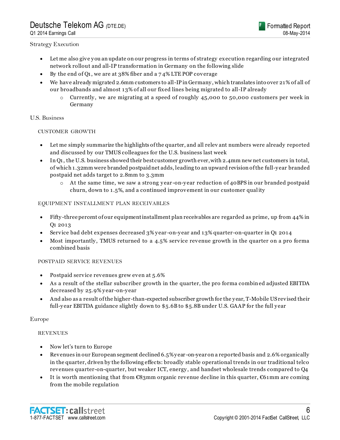## Deutsche Telekom AG *(*DTE.DE)

Q1 2014 Earnings Call



#### Strategy Execution

- Let me also give you an update on our progress in terms of strategy execution regarding our integrated network rollout and all-IP transformation in Germany on the following slide
- By the end of Q1, we are at 38% fiber and a 7 4% LTE POP coverage
- We have already migrated 2.6mm customers to all-IP in Germany , which translates into over 21% of all of our broadbands and almost 13% of all our fixed lines being migrated to all-IP already
	- $\circ$  Currently, we are migrating at a speed of roughly 45,000 to 50,000 customers per week in Germany

#### U.S. Business

#### CUSTOMER GROWTH

- Let me simply summarize the highlights of the quarter, and all relev ant numbers were already reported and discussed by our TMUS colleagues for the U.S. business last week
- In Q1, the U.S. business showed their best customer growth ever, with 2.4mm new net customers in total, of which 1.32mm were branded postpaid net adds, leading to an upward revision of the full-y ear branded postpaid net adds target to 2.8mm to 3.3mm
	- $\circ$  At the same time, we saw a strong year-on-year reduction of 40 BPS in our branded postpaid churn, down to 1.5%, and a continued improvement in our customer quality

#### EQUIPMENT INSTALLMENT PLAN RECEIVABLES

- Fifty -three percent of our equipment installment plan receivables are regarded as prime, up from 44% in Q1 2013
- Service bad debt expenses decreased 3% y ear -on-y ear and 13% quarter-on-quarter in Q1 2014
- Most importantly , TMUS returned to a 4.5% service revenue growth in the quarter on a pro forma combined basis

#### POSTPAID SERVICE REVENUES

- Postpaid service revenues grew even at 5.6%
- As a result of the stellar subscriber growth in the quarter, the pro forma combined adjusted EBITDA decreased by 25.9% y ear-on-y ear
- And also as a result of the higher-than-expected subscriber growth for the y ear, T-Mobile US revised their full-year EBITDA guidance slightly down to \$5.6B to \$5.8B under U.S. GAAP for the full year

#### Europe

#### REVENUES

- Now let's turn to Europe
- Revenues in our European segment declined 6.5% y ear -on-year on a reported basis and 2.6% organically in the quarter, driven by the following effects: broadly stable operational trends in our traditional telco revenues quarter-on-quarter, but weaker ICT, energy , and handset wholesale trends compared to Q4
- It is worth mentioning that from €83mm organic revenue decline in this quarter, €61mm are coming from the mobile regulation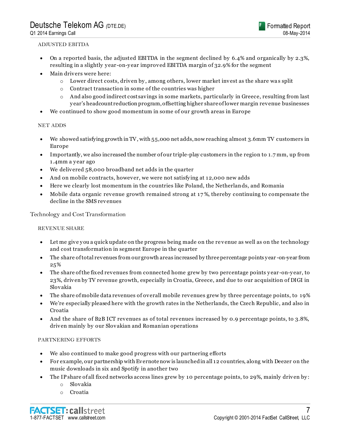#### ADJUSTED EBITDA

- On a reported basis, the adjusted EBITDA in the segment declined by 6.4% and organically by 2.3%, resulting in a slightly y ear-on-y ear improved EBITDA margin of 32.9% for the segment
- Main drivers were here:
	- o Lower direct costs, driven by , among others, lower market invest as the share wa s split
	- o Contract transaction in some of the countries was higher
	- $\circ$  And also good indirect costsavings in some markets, particularly in Greece, resulting from last y ear's headcount reduction program, offsetting higher share of lower margin revenue businesses
- We continued to show good momentum in some of our growth areas in Europe

### NET ADDS

- We showed satisfying growth in TV, with 55,000 net adds, now reaching almost 3.6mm TV customers in Europe
- Importantly, we also increased the number of our triple-play customers in the region to 1.7 mm, up from 1.4mm a year ago
- We delivered 58,000 broadband net adds in the quarter
- And on mobile contracts, however, we were not satisfy ing at 12,000 new adds
- Here we clearly lost momentum in the countries like Poland, the Netherlands, and Romania
- Mobile data organic revenue growth remained strong at 17 %, thereby continuing to compensate the decline in the SMS revenues

Technology and Cost Transformation

### REVENUE SHARE

- Let me give you a quick update on the progress being made on the revenue as well as on the technology and cost transformation in segment Europe in the quarter
- The share of total revenues from our growth areas increased by three percentage points y ear -on-year from 25%
- The share of the fixed revenues from connected home grew by two percentage points year-on-year, to 23%, driven by TV revenue growth, especially in Croatia, Greece, and due to our acquisition of DIGI in Slovakia
- The share of mobile data revenues of overall mobile revenues grew by three percentage points, to 19%
- We're especially pleased here with the growth rates in the Netherlands, the Czech Republic, and also in Croatia
- And the share of B2B ICT revenues as of total revenues increased by 0.9 percentage points, to 3.8%, driven mainly by our Slovakian and Romanian operations

### PARTNERING EFFORTS

- We also continued to make good progress with our partnering efforts
- For example, our partnership with Evernote now is launched in all 12 countries, along with Deezer on the music downloads in six and Spotify in another two
- The IP share of all fixed networks access lines grew by 10 percentage points, to 29%, mainly driven by:
	- o Slovakia
	- o Croatia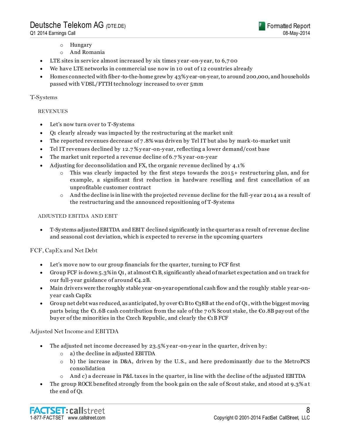

- o Hungary
- o And Romania
- LTE sites in service almost increased by six times year-on-year, to 6,700
- We have LTE networks in commercial use now in 10 out of 12 countries already
- Homes connected with fiber-to-the-home grew by 43% y ear-on-year, to around 200,000, and households passed with VDSL/FTTH technology increased to over 5mm

#### T-Systems

#### **REVENUES**

- Let's now turn over to T-Sy stems
- Q1 clearly already was impacted by the restructuring at the market unit
- The reported revenues decrease of 7 .8% was driven by Tel IT but also by mark-to-market unit
- Tel IT revenues declined by 12.7 % y ear -on-y ear, reflecting a lower demand/cost base
- The market unit reported a revenue decline of 6.7 % y ear-on-y ear
- Adjusting for deconsolidation and FX, the organic revenue declined by 4.1%
	- $\circ$  This was clearly impacted by the first steps towards the 2015+ restructuring plan, and for example, a significant first reduction in hardware reselling and first cancellation of an unprofitable customer contract
	- $\circ$  And the decline is in line with the projected revenue decline for the full-year 2014 as a result of the restructuring and the announced repositioning of T-Sy stems

#### ADJUSTED EBITDA AND EBIT

 T-Sy stems adjusted EBITDA and EBIT declined significantly in the quarter as a result of revenue decline and seasonal cost deviation, which is expected to reverse in the upcoming quarters

### FCF, CapEx and Net Debt

- Let's move now to our group financials for the quarter, turning to FCF first
- Group FCF is down 5.3% in Q1, at almost  $\mathfrak{C}1B$ , significantly ahead of market expectation and on track for our full-y ear guidance of around €4.2B.
- Main drivers were the roughly stable year -on-year operational cash flow and the roughly stable y ear-ony ear cash CapEx
- Group net debt was reduced, as anticipated, by over  $\epsilon_1$ B to  $\epsilon_3$ 8B at the end of Q1, with the biggest moving parts being the  $\epsilon_1$ .6B cash contribution from the sale of the 70% Scout stake, the  $\epsilon_0$ .8B payout of the buy er of the minorities in the Czech Republic, and clearly the €1B FCF

#### Adjusted Net Income and EBITDA

- The adjusted net income decreased by 23.5% y ear -on-y ear in the quarter, driven by :
	- o a) the decline in adjusted EBITDA
	- o b) the increase in D&A, driven by the U.S., and here predominantly due to the MetroPCS consolidation
	- o And c) a decrease in P&L taxes in the quarter, in line with the decline of the adjusted EBITDA
- The group ROCE benefited strongly from the book gain on the sale of Scout stake, and stood at 9.3% a t the end of Q1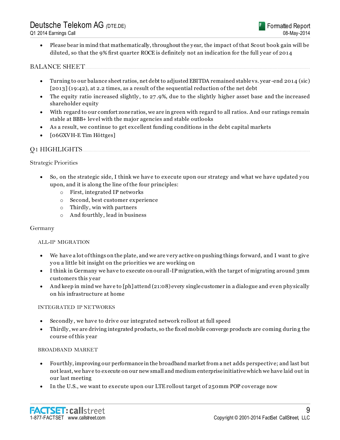Please bear in mind that mathematically, throughout the y ear, the impact of that Scout book gain will be diluted, so that the 9% first quarter ROCE is definitely not an indication for the full y ear of 2014

### BALANCE SHEET....................................................................................................................................................................................

- Turning to our balance sheet ratios, net debt to adjusted EBITDA remained stable vs. year -end 2014 (sic) [2013] (19:42), at 2.2 times, as a result of the sequential reduction of the net debt
- The equity ratio increased slightly , to 27 .9%, due to the slightly higher asset base and the increased shareholder equity
- With regard to our comfort zone ratios, we are in green with regard to all ratios. And our ratings remain stable at BBB+ level with the major agencies and stable outlooks
- As a result, we continue to get excellent funding conditions in the debt capital markets
- **[06GXVH-E Tim Höttges]**

### Q1 HIGHLIGHTS......................................................................................................................................................................................

#### Strategic Priorities

- So, on the strategic side, I think we have to execute upon our strategy and what we have updated y ou upon, and it is along the line of the four principles:
	- o First, integrated IP networks
	- o Second, best customer experience
	- $\circ$  Thirdly, win with partners
	- o And fourthly , lead in business

#### Germany

#### ALL-IP MIGRATION

- We have a lot of things on the plate, and we are very active on pushing things forward, and I want to give y ou a little bit insight on the priorities we are working on
- I think in Germany we have to execute on our all-IP migration, with the target of migrating around 3mm customers this y ear
- And keep in mind we have to [ph] attend (21:08) every single customer in a dialogue and even phy sically on his infrastructure at home

#### INTEGRATED IP NETWORKS

- Secondly , we have to drive our integrated network rollout at full speed
- Thirdly , we are driving integrated products, so the fixed mobile converge products are coming durin g the course of this y ear

#### BROADBAND MARKET

- Fourthly, improving our performance in the broadband market from a net adds perspective; and last but not least, we have to execute on our new small and medium enterprise initiative which we have laid out in our last meeting
- In the U.S., we want to execute upon our LTE rollout target of 250mm POP coverage now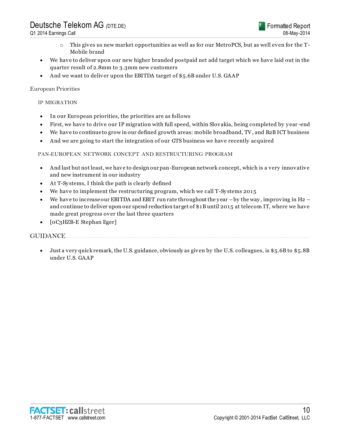- o This gives us new market opportunities as well as for our MetroPCS, but as well even for the T-Mobile brand
- We have to deliver upon our new higher branded postpaid net add target which we have laid out in the quarter result of 2.8mm to 3.3mm new customers
- And we want to deliver upon the EBITDA target of \$5.6B under U.S. GAAP

### European Priorities

#### IP MIGRATION

- In our European priorities, the priorities are as follows
- First, we have to drive our IP migration with full speed, within Slovakia, being completed by y ear -end
- We have to continue to grow in our defined growth areas: mobile broadband, TV, and B2B ICT business
- And we are going to start the integration of our GTS business we have recently acquired

#### PAN-EUROPEAN NETWORK CONCEPT AND RESTRUCTURING PROGRAM

- And last but not least, we have to design our pan-European network concept, which is a very innovative and new instrument in our industry
- At T-Sy stems, I think the path is clearly defined
- We have to implement the restructuring program, which we call T-Systems 2015
- We have to increase our EBITDA and EBIT run rate throughout the year by the way, improving in H2 and continue to deliver upon our spend reduction target of \$1B until 2015 at telecom IT, where we have made great progress over the last three quarters
- [0C3HZB-E Stephan Eger]

### GUIDANCE...................................................................................................................................................................................................

 Just a very quick remark, the U.S. guidance, obviously as given by the U.S. colleagues, is \$5.6B to \$5.8B under U.S. GAAP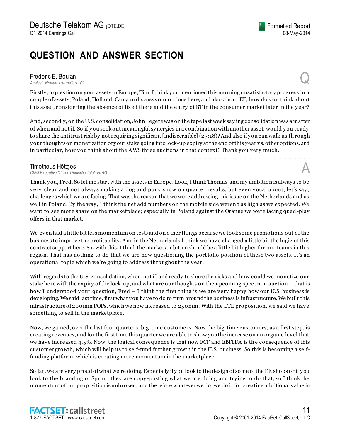## **QUESTION AND ANSWER SECTION**

**Frederic E. Boulan**<br>Analyst, Nomura International Plc *Analyst, Nomura International Plc* Q

Firstly , a question on y our assets in Europe, Tim, I think y ou mentioned this morning unsatisfactory progress in a couple of assets, Poland, Holland. Can y ou discuss y our options here, and also about EE, how do y ou think about this asset, considering the absence of fixed there and the entry of BT in the consumer market later in the year?

And, secondly, on the U.S. consolidation, John Legere was on the tape last week say ing consolidation was a matter of when and not if. So if y ou seek out meaningful sy nergies in a combination with another asset, would y ou ready to share the antitrust risk by not requiring significant [indiscernible] (25:18)? And also if y ou can walk us th rough y our thoughts on monetization of y our stake going into lock-up expiry at the end of this y ear vs. other options, and in particular, how you think about the AWS three auctions in that context? Thank you very much.

................................................................................................................................................................................................................................

**Timotheus Höttges**<br>Chief Executive Officer, Deutsche Telekom AG *Chief Executive Officer, Deutsche Telekom AG* A

Thank you, Fred. So let me start with the assets in Europe. Look, I think Thomas' and my ambition is always to be very clear and not always making a dog and pony show on quarter results, but even vocal about, let's say, challenges which we are facing. That was the reason that we were addressing this issue on the Netherlands and as well in Poland. By the way , I think the net add numbers on the mobile side weren't as high as we expected. We want to see more share on the marketplace; especially in Poland against the Orange we were facing quad -play offers in that market.

We even had a little bit less momentum on tests and on other things because we took some promotions out of the business to improve the profitability. And in the Netherlands I think we have changed a little bit the logic of this contract support here. So, with this, I think the market ambition should be a little bit higher for our teams in this region. That has nothing to do that we are now questioning the portfolio position of these two assets. It's an operational topic which we're going to address throughout the y ear.

With regards to the U.S. consolidation, when, not if, and ready to share the risks and how could we monetize our stake here with the expiry of the lock-up, and what are our thoughts on the upcoming spectrum auction – that is how I understood your question, Fred – I think the first thing is we are very happy how our U.S. business is developing. We said last time, first what y ou have to do to turn around the business is infrastructure. We built this infrastructure of 200mm POPs, which we now increased to 250mm. With the LTE proposition, we said we have something to sell in the marketplace.

Now, we gained, over the last four quarters, big-time customers. Now the big-time customers, as a first step, is creating revenues, and for the first time this quarter we are able to show you the increase on an organic level that we have increased 4.5%. Now, the logical consequence is that now FCF and EBITDA is the consequence of this customer growth, which will help us to self-fund further growth in the U.S. business. So this is becoming a selffunding platform, which is creating more momentum in the marketplace.

So far, we are very proud of what we're doing. Especially if y ou look to the design of some of the EE shops or if y ou look to the branding of Sprint, they are copy-pasting what we are doing and trying to do that, so I think the momentum of our proposition is unbroken, and therefore whatever we do, we do it for creating additional value in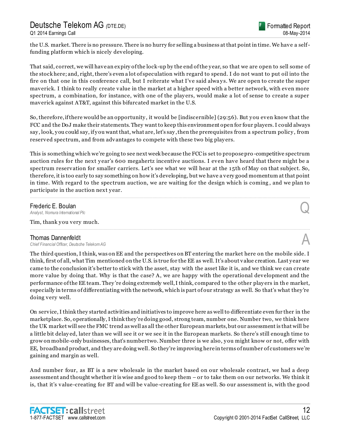the U.S. market. There is no pressure. There is no hurry for selling a business at that point in time. We have a selffunding platform which is nicely developing.

That said, correct, we will have an expiry of the lock-up by the end of the y ear, so that we are open to sell some of the stock here; and, right, there's even a lot of speculation with regard to spend. I do not want to put oil into the fire on that one in this conference call, but I reiterate what I've said always. We are open to create the super maverick. I think to really create value in the market at a higher speed with a better network, with even more spectrum, a combination, for instance, with one of the players, would make a lot of sense to create a super maverick against AT&T, against this bifurcated market in the U.S.

So, therefore, if there would be an opportunity , it would be [indiscernible] (29:56). But y ou even know that the FCC and the DoJ make their statements. They want to keep this environment open for four players. I could always say , look, y ou could say, if y ou want that, what are, let's say , then the prerequisites from a spectrum policy , from reserved spectrum, and from advantages to compete with these two big play ers.

This is something which we're going to see next week because the FCC is set to propose pro -competitive spectrum auction rules for the next y ear's 600 megahertz incentive auctions. I even have heard that there might be a spectrum reservation for smaller carriers. Let's see what we will hear at the 15th of May on that subject. So, therefore, it is too early to say something on how it's developing, but we have a very good momentum at that point in time. With regard to the spectrum auction, we are waiting for the design which is coming , and we plan to participate in the auction next year.

................................................................................................................................................................................................................................

................................................................................................................................................................................................................................

### Frederic E. Boulan

*Analyst, Nomura International Plc* Q

Tim, thank you very much.

#### Thomas Dannenfeldt

*Chief Financial Officer, Deutsche Telekom AG* A

The third question, I think, was on EE and the perspectives on BT entering the market here on the mobile side. I think, first of all, what Tim mentioned on the U.S. is true for the EE as well. It's about value creation. Last y ear we came to the conclusion it's better to stick with the asset, stay with the asset like it is, and we think we can create more value by doing that. Why is that the case? A, we are happy with the operational development and the performance of the EE team. They 're doing extremely well, I think, compared to the other play ers in th e market, especially in terms of differentiating with the network, which is part of our strategy as well. So that's what they 're doing very well.

On service, I think they started activities and initiatives to improve here as well to differentiate even fur ther in the marketplace. So, operationally, I think they're doing good, strong team, number one. Number two, we think here the UK market will see the FMC trend as well as all the other European markets, but our assessment is that will be a little bit delay ed, later than we will see it or we see it in the European markets. So there's still enough time to grow on mobile-only businesses, that's number two. Number three is we also, y ou might know or not, offer with EE, broadband product, and they are doing well. So they're improving here in terms of number of customers we're gaining and margin as well.

And number four, as BT is a new wholesale in the market based on our wholesale contract, we had a deep assessment and thought whether it is wise and good to keep them – or to take them on our networks. We think it is, that it's value-creating for BT and will be value-creating for EE as well. So our assessment is, with the good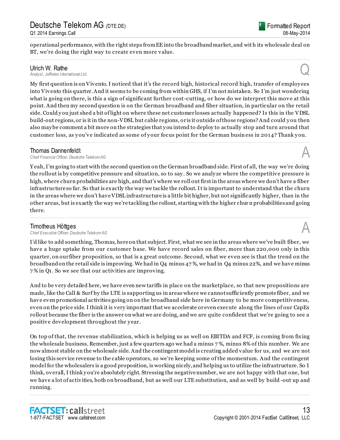Formatted Report 08-May-2014

operational performance, with the right steps from EE into the broadband market, and wit h its wholesale deal on BT, we're doing the right way to create even more value. ................................................................................................................................................................................................................................

Ulrich W. Rathe<br>Analyst, Jefferies International Ltd. *Analyst, Jefferies International Ltd.* Q

My first question is on Vivento. I noticed that it's the record high, historical record high, transfer of employ ees into Vivento this quarter. And it seems to be coming from within GHS, if I'm not mistaken. So I'm just wondering what is going on there, is this a sign of significant further cost-cutting, or how do we interpret this move at this point. And then my second question is on the German broadband and fiber situation, in particular on the retail side. Could you just shed a bit of light on where these net customer losses actually happened? Is this in the VDSL build-out regions, or is it in the non-VDSL but cable regions, or is it outside of those regions? And could y ou then also may be comment a bit more on the strategies that y ou intend to deploy to actually stop and turn around that customer loss, as y ou've indicated as some of y our focus point for the German business in 2014? Thank y ou. ................................................................................................................................................................................................................................

**Thomas Dannenfeldt**<br>Chief Financial Officer, Deutsche Telekom AG *Chief Financial Officer, Deutsche Telekom AG* A

Y eah, I'm going to start with the second question on the German broadband side. First of all, the way we're doing the rollout is by competitive pressure and situation, so to say . So we analy ze where the competitive pressure is high, where churn probabilities are high, and that's where we roll out first in the areas where we don't have a fiber infrastructure so far. So that is exactly the way we tackle the rollout. It is important to understand that the churn in the areas where we don't have VDSL infrastructure is a little bit higher, but not significantly higher, than in the other areas, but is exactly the way we're tackling the rollout, starting with the higher chur n probabilities and going there. ................................................................................................................................................................................................................................

### Timotheus Höttges

*Chief Executive Officer, Deutsche Telekom AG* A

I'd like to add something, Thomas, here on that subject. First, what we see in the areas where we've built fiber, we have a huge uptake from our customer base. We have record sales on fiber, more than 220,000 only in this quarter, on our fiber proposition, so that is a great outcome. Second, what we even see is that the trend on the broadband on the retail side is improving. We had in Q4 minus 47 %, we had in Q4 minus 22%, and we have minus 7 % in Q1. So we see that our activities are improving.

And to be very detailed here, we have even new tariffs in place on the marketplace, so that new propositions are made, like the Call & Surf by the LTE is supporting us in areas where we cannot sufficiently promote fiber, and we have even promotional activities going on on the broadband side here in Germany to be more competitiveness, even on the price side. I think it is very important that we accelerate or even execute along the lines of our CapEx rollout because the fiber is the answer on what we are doing, and we are quite confident that we're going to see a positive development throughout the y ear.

On top of that, the revenue stabilization, which is helping us as well on EBITDA and FCF, is coming from fixing the wholesale business. Remember, just a few quarters ago we had a minus 7 %, minus 8% of this number. We are now almost stable on the wholesale side. And the contingent model is creating added value for us, and we are not losing this service revenue to the cable operators, so we're keeping some of the momentum. And the contingent model for the wholesalers is a good proposition, is working nicely, and helping us to utilize the infrastructure. So I think, overall, I think y ou're absolutely right. Stressing the negative number, we are not happy with that one, but we have a lot of activities, both on broadband, but as well our LTE substitution, and as well by build -out up and running.

................................................................................................................................................................................................................................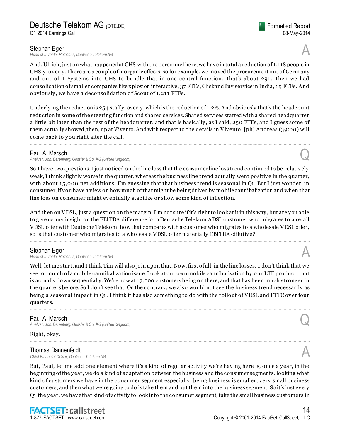**Stephan Eger**<br>Head of Investor Relations, Deutsche Telekom AG *Head of Investor Relations, Deutsche Telekom AG* A

And, Ulrich, just on what happened at GHS with the personnel here, we have in total a reduction of 1,118 people in GHS y -over-y. There are a couple of inorganic effects, so for example, we moved the procurement out of Germ any and out of T-Sy stems into GHS to bundle that in one central function. That's about 291. Then we had consolidation of smaller companies like xplosion interactive, 37 FTEs, ClickandBuy service in India, 19 FTEs. And obviously, we have a deconsolidation of Scout of 1,211 FTEs.

Underlying the reduction is  $254$  staffy-over-y, which is the reduction of 1.2%. And obviously that's the headcount reduction in some of the steering function and shared services. Shared services started with a shared headquarter a little bit later than the rest of the headquarter, and that is basically , as I said, 250 FTEs, and I guess some of them actually showed, then, up at Vivento. And with respect to the details in Vivento, [ph] Andreas (39:00) will come back to you right after the call.

................................................................................................................................................................................................................................

### Paul A. Marsch

*Analyst, Joh. Berenberg, Gossler & Co. KG (United Kingdom)* Q

So I have two questions. I just noticed on the line loss that the consumer line loss trend continued to be relatively weak, I think slightly worse in the quarter, whereas the business line trend actually went positive in the quarter, with about 15,000 net additions. I'm guessing that that business trend is seasonal in Q1. But I just wonder, in consumer, if y ou have a view on how much of that might be being driven by mobile cannibalization and when that line loss on consumer might eventually stabilize or show some kind of inflection.

And then on VDSL, just a question on the margin, I'm not sure if it's right to look at it in this way , but are y ou able to give us any insight on the EBITDA difference for a Deutsche Telekom ADSL customer who migrates to a retail VDSL offer with Deutsche Telekom, how that compares with a customer who migrates to a wholesale VDSL offer, so is that customer who migrates to a wholesale VDSL offer materially EBITDA-dilutive?

................................................................................................................................................................................................................................

### Stephan Eger

*Head of Investor Relations, Deutsche Telekom AG* A

Well, let me start, and I think Tim will also join upon that. Now, first of all, in the line losses, I don't think that we see too much of a mobile cannibalization issue. Look at our own mobile cannibalization by our LTE product; that is actually down sequentially. We're now at 17,000 customers being on there, and that has been much stronger in the quarters before. So I don't see that. On the contrary, we also would not see the business trend necessarily as being a seasonal impact in Q1. I think it has also something to do with the rollout of VDSL and FTTC over four quarters.

................................................................................................................................................................................................................................

................................................................................................................................................................................................................................

### Paul A. Marsch

*Analyst, Joh. Berenberg, Gossler & Co. KG (United Kingdom)* Q

Right, okay .

#### Thomas Dannenfeldt

*Chief Financial Officer, Deutsche Telekom AG* A

But, Paul, let me add one element where it's a kind of regular activity we're having here is, once a y ear, in the beginning of the y ear, we do a kind of adaptation between the business and the consumer segments, looking what kind of customers we have in the consumer segment especially , being business is smaller, very small business customers, and then what we're going to do is take them and put them into the business segment. So it's just every Q1 the y ear, we have that kind of activity to look into the consumer segment, take the small business customers in

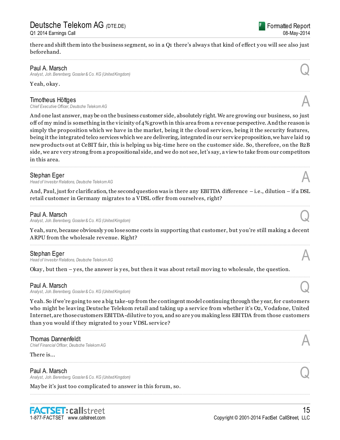## Deutsche Telekom AG *(*DTE.DE) Q1 2014 Earnings Call

there and shift them into the business segment, so in a Q1 there's alway s that kind of effect y ou will see also just beforehand.

................................................................................................................................................................................................................................

### Paul A. Marsch

*Analyst, Joh. Berenberg, Gossler & Co. KG (United Kingdom)* Q

Y eah, okay .

#### Timotheus Höttges

**Chief Executive Officer, Deutsche Telekom AG** 

And one last answer, may be on the business customer side, absolutely right. We are growing our business, so just off of my mind is something in the vicinity of  $4\%$  growth in this area from a revenue perspective. And the reason is simply the proposition which we have in the market, being it the cloud services, being it the security features, being it the integrated telco services which we are delivering, integrated in our serv ice proposition, we have laid 19 new products out at CeBIT fair, this is helping us big-time here on the customer side. So, therefore, on the B2B side, we are very strong from a propositional side, and we do not see, let's say, a view to take from our competitors in this area.

................................................................................................................................................................................................................................

#### Stephan Eger

*Head of Investor Relations, Deutsche Telekom AG* A

And, Paul, just for clarification, the second question was is there any EBITDA difference – i.e., dilution – if a DSL retail customer in Germany migrates to a VDSL offer from ourselves, right? ................................................................................................................................................................................................................................

### Paul A. Marsch

*Analyst, Joh. Berenberg, Gossler & Co. KG (United Kingdom)* Q

Y eah, sure, because obviously y ou lose some costs in supporting that customer, but y ou're still making a decent ARPU from the wholesale revenue. Right?

**Stephan Eger**<br>Head of Investor Relations, Deutsche Telekom AG *Head of Investor Relations, Deutsche Telekom AG* A

Okay, but then – yes, the answer is yes, but then it was about retail moving to wholesale, the question.

#### Paul A. Marsch

*Analyst, Joh. Berenberg, Gossler & Co. KG (United Kingdom)* Q

Y eah. So if we're going to see a big take-up from the contingent model continuing through the y ear, for customers who might be leaving Deutsche Telekom retail and taking up a service from whether it's O2, Vodafone, United Internet, are those customers EBITDA-dilutive to you, and so are y ou making less EBITDA from those customers than you would if they migrated to your VDSL service?

................................................................................................................................................................................................................................

................................................................................................................................................................................................................................

................................................................................................................................................................................................................................

................................................................................................................................................................................................................................

Thomas Dannenfeldt<br>Chief Financial Officer, Deutsche Telekom AG *Chief Financial Officer, Deutsche Telekom AG* A

There is...

### Paul A. Marsch

*Analyst, Joh. Berenberg, Gossler & Co. KG (United Kingdom)* Q

May be it's just too complicated to answer in this forum, so.









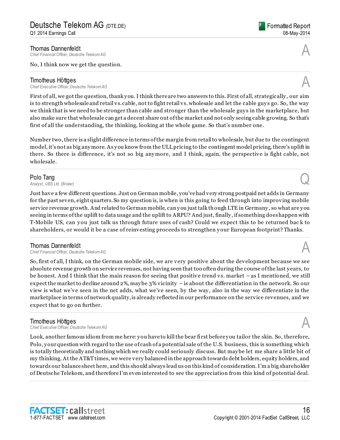**Thomas Dannenfeldt**<br>Chief Financial Officer. Deutsche Telekom AG *Chief Financial Officer, Deutsche Telekom AG* A

#### No, I think now we get the question.

**Timotheus Höttges**<br>Chief Executive Officer. Deutsche Telekom AG *Chief Executive Officer, Deutsche Telekom AG* A

First of all, we got the question, thank you. I think there are two answers to this. First of all, strategically, our aim is to strength wholesale and retail vs. cable, not to fight retail vs. wholesale and let the cable guy s go. So, the way we think that is we need to be stronger than cable and stronger than the wholesale guy s in the marketplace, but also make sure that wholesale can get a decent share out of the market and not only seeing cable growing. So that's first of all the understanding, the thinking, looking at the whole game. So that's number one.

................................................................................................................................................................................................................................

Number two, there is a slight difference in terms of the margin from retail to wholesale, but due to the contingent model, it's not as big any more. As y ou know from the ULL pricing to the contingent model pricing, there's uplift in there. So there is difference, it's not so big any more, and I think, again, the perspective is fight cable, not wholesale.

................................................................................................................................................................................................................................

Polo Tang<br>Analyst, UBS Ltd. (Broker) **Polo Tang**<br>Analyst, UBS Ltd. (Broker)

Just have a few different questions. Just on German mobile, you've had very strong postpaid net adds in Germany for the past seven, eight quarters. So my question is, is when is this going to feed through into improving mobile service revenue growth. And related to German mobile, can y ou just talk though LTE in Germany , so what are y ou seeing in terms of the uplift to data usage and the uplift to ARPU? And just, finally , if something does happen with T-Mobile US, can you just talk us through future uses of cash? Could we expect this to be returned back to shareholders, or would it be a case of reinvesting proceeds to strengthen y our European footprint? Thanks.

................................................................................................................................................................................................................................

### Thomas Dannenfeldt

*Chief Financial Officer, Deutsche Telekom AG* A

So, first of all, I think, on the German mobile side, we are very positive about the development because we see absolute revenue growth on service revenues, not having seen that too often during the course of the last y ears, to be honest. And I think that the main reason for seeing that positive trend vs. market – as I mentioned, we still expect the market to decline around 2%, may be 3% vicinity – is about the differentiation in the network. So our view is what we've seen in the net adds, what we've seen, by the way , also in the way we differentiate in the marketplace in terms of network quality, is already reflected in our performance on the service revenues, and we expect that to go on further.

................................................................................................................................................................................................................................

**Timotheus Höttges**<br>Chief Executive Officer, Deutsche Telekom AG *Chief Executive Officer, Deutsche Telekom AG* A

Look, another famous idiom from me here: y ou have to kill the bear first before y ou tailor the skin. So, therefore, Polo, y our question with regard to the use of cash of a potential sale of the U.S. business, this is something which is totally theoretically and nothing which we really could seriously discuss. But may be let me share a little bit of my thinking. At the AT&T times, we were very balanced in the approach towards debt holders, equity holders, and towards our balance sheet here, and this should always lead us on this kind of consideration. I'm a big shareholder of Deutsche Telekom, and therefore I'm even interested to see the appreciation from this kind of potential deal. ................................................................................................................................................................................................................................





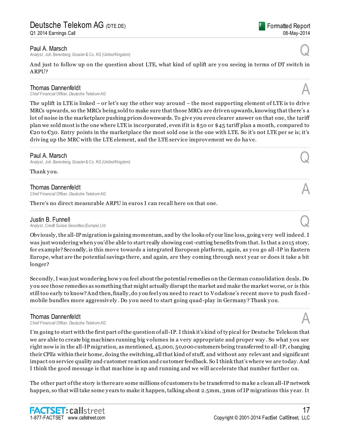#### Paul A. Marsch

*Analyst, Joh. Berenberg, Gossler & Co. KG (United Kingdom)* Q

And just to follow up on the question about LTE, what kind of uplift are you seeing in terms of DT switch in ARPU?

**Thomas Dannenfeldt**<br>Chief Financial Officer. Deutsche Telekom AG *Chief Financial Officer, Deutsche Telekom AG* A

The uplift in LTE is linked – or let's say the other way around – the most supporting element of LTE is to drive MRCs upwards, so the MRCs being sold to make sure that those MRCs are driven upwards, knowing that there's a lot of noise in the marketplace pushing prices downwards. To give you even clearer answer on that one, the tariff plan we sold most is the one where LTE is incorporated, even if it is \$50 or \$45 tariff plan a month, compared to  $\epsilon$ 20 to  $\epsilon$ 30. Entry points in the marketplace the most sold one is the one with LTE. So it's not LTE per se is; it's driving up the MRC with the LTE element, and the LTE service improvement we do ha ve.

................................................................................................................................................................................................................................

................................................................................................................................................................................................................................

................................................................................................................................................................................................................................

#### Paul A. Marsch

*Analyst, Joh. Berenberg, Gossler & Co. KG (United Kingdom)* Q

Thank you.

**Thomas Dannenfeldt**<br>Chief Financial Officer, Deutsche Telekom AG *Chief Financial Officer, Deutsche Telekom AG* A

There's no direct measurable ARPU in euros I can recall here on that one.

**Justin B. Funnell**<br>Analyst, Credit Suisse Securities (Europe) Ltd. *Analyst, Credit Suisse Securities (Europe) Ltd.* Q

Obviously, the all-IP migration is gaining momentum, and by the looks of y our line loss, going very well indeed. I was just wondering when you'd be able to start really showing cost-cutting benefits from that. Is that a 2015 story, for example? Secondly, is this move towards a integrated European platform, again, as y ou go all-IP in Eastern Europe, what are the potential savings there, and again, are they coming through next y ear or does it take a bit longer?

Secondly, I was just wondering how y ou feel about the potential remedies on the German consolidation deals. Do y ou see those remedies as something that might actually disrupt the market and make the market worse, or is this still too early to know? And then, finally , do y ou feel y ou need to react to Vodafone's recent move to push fixed mobile bundles more aggressively . Do y ou need to start going quad-play in Germany ? Thank y ou.

................................................................................................................................................................................................................................

**Thomas Dannenfeldt**<br>Chief Financial Officer, Deutsche Telekom AG *Chief Financial Officer, Deutsche Telekom AG* A

I'm going to start with the first part of the question of all-IP. I think it's kind of ty pical for Deutsche Telekom that we are able to create big machines running big volumes in a very appropriate and proper way . So what y ou see right now is in the all-IP migration, as mentioned, 45,000, 50,000 customers being transferred to all-IP, changing their CPEs within their home, doing the switching, all that kind of stuff, and without any relevant and significant impact on service quality and customer reaction and customer feedback. So I think that's where we are today. And I think the good message is that machine is up and running and we will accelerate that number further on.

The other part of the story is there are some millions of customers to be transferred to ma ke a clean all-IP network happen, so that will take some years to make it happen, talking about 2.5mm, 3mm of IP migrations this year. It



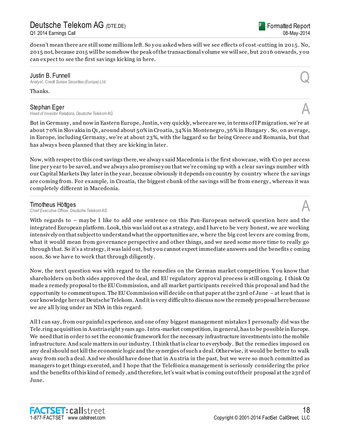## Deutsche Telekom AG *(*DTE.DE)

Q1 2014 Earnings Call



doesn't mean there are still some millions left. So you asked when will we see effects of cost-cutting in 2015. No, 2015 not, because 2015 will be somehow the peak of the transactional volume we will see, but 2016 onwards, y ou can expect to see the first savings kicking in here.

................................................................................................................................................................................................................................

................................................................................................................................................................................................................................

**Justin B. Funnell**<br>Analyst, Credit Suisse Securities (Europe) Ltd. *Analyst, Credit Suisse Securities (Europe) Ltd.* Q

Thanks.

**Stephan Eger**<br>Head of Investor Relations, Deutsche Telekom AG *Head of Investor Relations, Deutsche Telekom AG* A

But in Germany , and now in Eastern Europe, Justin, very quickly, where are we, in terms of IP migration, we're at about 7 0% in Slovakia in Q1, around about 50% in Croatia, 34% in Montenegro, 36% in Hungary . So, on average, in Europe, including Germany , we're at about 23%, with the laggard so far being Greece and Romania, but that has always been planned that they are kicking in later.

Now, with respect to this cost savings there, we always said Macedonia is the first showcase, with  $\epsilon$ 10 per access line per y ear to be saved, and we always also promise y ou that we're coming up with a clear savings number with our Capital Markets Day later in the y ear, because obviously it depends on country by country where th e savings are coming from. For example, in Croatia, the biggest chunk of the savings will be from energy , whereas it was completely different in Macedonia.

................................................................................................................................................................................................................................

### Timotheus Höttges

**Chief Executive Officer, Deutsche Telekom AG** 

With regards to – may be I like to add one sentence on this Pan-European network question here and the integrated European platform. Look, this was laid out as a strategy, and I have to be very honest, we are working intensively on that subject to understand what the opportunities are, where the big cost levers are coming from, what it would mean from governance perspective and other things, and we need some more time to really go through that. So it's a strategy, it was laid out, but y ou cannot expect immediate answers and the benefits c oming soon. So we have to work that through diligently .

Now, the next question was with regard to the remedies on the German market competition. Y ou know that shareholders on both sides approved the deal, and EU regulatory approval process is still ongoin g. I think O2 made a remedy proposal to the EU Commission, and all market participants received this proposal and had the opportunity to comment upon. The EU Commission will decide on that paper at the 23rd of June – at least that is our knowledge here at Deutsche Telekom. And it is very difficult to discuss now the remedy proposal here because we are all ly ing under an NDA in this regard.

All I can say , from our painful experience, and one of my biggest management mistakes I personally did was the Tele.ring acquisition in Austria eight y ears ago. Intra-market competition, in general, has to be possible in Europe. We need that in order to set the economic framework for the necessary infrastructure investments into the mobile infrastructure. And scale matters in our industry. I think that is clear to everybody . But the remedies imposed on any deal should not kill the economic logic and the sy nergies of such a deal. Otherwise, it would be better to walk away from such a deal. And we should have done that in Austria in the past, but we were so much committed as managers to get things executed, and I hope that the Telefónica management is seriously considering the price and the benefits of this kind of remedy , and therefore, let's wait what is coming out of their proposal at the 23rd of June.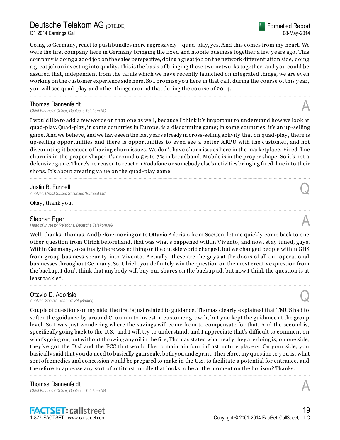## Deutsche Telekom AG *(*DTE.DE)

Q1 2014 Earnings Call

Formatted Report 08-May-2014

Going to Germany , react to push bundles more aggressively –quad-play, yes. And this comes from my heart. We were the first company here in Germany bringing the fixed and mobile business together a few y ears ago. This company is doing a good job on the sales perspective, doing a great job on the network differentiation side, doing a great job on investing into quality. This is the basis of bringing these two networks together, and y ou could be assured that, independent from the tariffs which we have recently launched on integrated things, we are even working on the customer experience side here. So I promise y ou here in that call, during the course of this y ear, y ou will see quad-play and other things around that during the course of 2014.

................................................................................................................................................................................................................................

**Thomas Dannenfeldt**<br>Chief Financial Officer, Deutsche Telekom AG *Chief Financial Officer, Deutsche Telekom AG* A

I would like to add a few words on that one as well, because I think it's important to understand how we look at quad-play. Quad-play, in some countries in Europe, is a discounting game; in some countries, it's an up-selling game. And we believe, and we have seen the last y ears already in cross-selling activity that on quad-play , there is up-selling opportunities and there is opportunities to even see a better ARPU with t he customer, and not discounting it because of having churn issues. We don't have churn issues here in the marketplace. Fixed -line churn is in the proper shape; it's around 6.5% to 7 % in broadband. Mobile is in the proper shape. So it's not a defensive game. There's no reason to react on Vodafone or somebody else's activities bringing fixed-line into their shops. It's about creating value on the quad-play game.

................................................................................................................................................................................................................................

................................................................................................................................................................................................................................

### Justin B. Funnell

*Analyst, Credit Suisse Securities (Europe) Ltd.* Q

Okay, thank you.

**Stephan Eger**<br>Head of Investor Relations, Deutsche Telekom AG *Head of Investor Relations, Deutsche Telekom AG* A

Well, thanks, Thomas. And before moving on to Ottavio Adorisio from SocGen, let me quickly come back to one other question from Ulrich beforehand, that was what's happened within Vivento, and now, st ay tuned, guy s. Within Germany , so actually there was nothing on the outside world changed, but we changed people within GHS from group business security into Vivento. Actually , these are the guy s at the doors of all our operational businesses throughout Germany. So, Ulrich, you definitely win the question on the most creative question from the backup. I don't think that any body will buy our shares on the backup ad, but now I think the question is at least tackled.

................................................................................................................................................................................................................................

#### Ottavio D. Adorisio

*Analyst, Société Générale SA (Broker)* Q

Couple of questions on my side, the first is just related to guidance. Thomas clearly explained that TMUS had to soften the guidance by around €100mm to invest in customer growth, but you kept the guidance at the group level. So I was just wondering where the savings will come from to compensate for that. And the second is, specifically going back to the U.S., and I will try to understand, and I appreciate that's difficult to comment on what's going on, but without throwing any oil in the fire, Thomas stated what really they are doing is, on one side, they 've got the DoJ and the FCC that would like to maintain four infrastructure play ers. On y our side, y ou basically said that y ou do need to basically gain scale, both y ou and Sprint. Ther efore, my question to y ou is, what sort of remedies and concession would be prepared to make in the U.S. to facilitate a potential for entrance, and therefore to appease any sort of antitrust hurdle that looks to be at the moment on the horizon? Thanks.

................................................................................................................................................................................................................................

Thomas Dannenfeldt *Chief Financial Officer, Deutsche Telekom AG* A

1-877-FACTSET www.callstreet.com

**FACTSET: callstreet**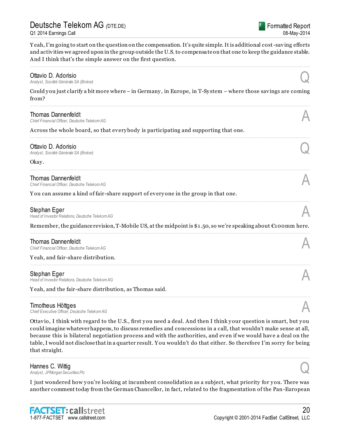Y eah, I'm going to start on the question on the compensation. It's quite simple. It is additional cost-saving efforts and activities we agreed upon in the group outside the U.S. to compensate on that one to keep the guidance stable. And I think that's the simple answer on the first question.

### ................................................................................................................................................................................................................................ **Ottavio D. Adorisio**<br>Analyst, Société Générale SA (Broker) *Analyst, Société Générale SA (Broker)* Q Could y ou just clarify a bit more where – in Germany , in Europe, in T-Sy stem – where those savings are coming from? ................................................................................................................................................................................................................................ **Thomas Dannenfeldt**<br>Chief Financial Officer, Deutsche Telekom AG *Chief Financial Officer, Deutsche Telekom AG* A Across the whole board, so that every body is participating and supporting that one. ................................................................................................................................................................................................................................ **Ottavio D. Adorisio**<br>Analyst, Société Générale SA (Broker) *Analyst, Société Générale SA (Broker)* Q Okay. ................................................................................................................................................................................................................................ **Thomas Dannenfeldt**<br>Chief Financial Officer, Deutsche Telekom AG *Chief Financial Officer, Deutsche Telekom AG* A Y ou can assume a kind of fair-share support of every one in the group in that one. ................................................................................................................................................................................................................................ **Stephan Eger**<br>Head of Investor Relations, Deutsche Telekom AG *Head of Investor Relations, Deutsche Telekom AG* A Remember, the guidance revision, T-Mobile US, at the midpoint is \$1.50, so we're speaking about €100mm here. ................................................................................................................................................................................................................................ Thomas Dannenfeldt *Chief Financial Officer, Deutsche Telekom AG* A Y eah, and fair-share distribution. ................................................................................................................................................................................................................................ Stephan Eger *Head of Investor Relations, Deutsche Telekom AG* A Y eah, and the fair-share distribution, as Thomas said. ................................................................................................................................................................................................................................ **Timotheus Höttges**<br>Chief Executive Officer, Deutsche Telekom AG *Chief Executive Officer, Deutsche Telekom AG* A

Ottavio, I think with regard to the U.S., first y ou need a deal. And then I think y our question is smart, but y ou could imagine whatever happens, to discuss remedies and concessions in a call, that wouldn't make sense at all, because this is bilateral negotiation process and with the authorities, and even if we would have a deal on the table, I would not disclose that in a quarter result. Y ou wouldn't do that either. So therefore I'm sorry for being that straight.

................................................................................................................................................................................................................................

### Hannes C. Wittig<br>Analyst, JPMorgan Securities Plc *Analyst, JPMorgan Securities Plc* Q

I just wondered how you're looking at incumbent consolidation as a subject, what priority for you. There was another comment today from the German Chancellor, in fact, related to the fragmentation of the Pan-European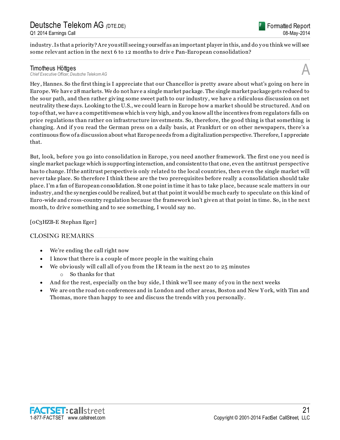

industry . Is that a priority? Are you still seeing y ourself as an important player in this, and do y ou think we will see some relevant action in the next 6 to 12 months to driv e Pan-European consolidation? ................................................................................................................................................................................................................................

**Timotheus Höttges**<br>Chief Executive Officer, Deutsche Telekom AG *Chief Executive Officer, Deutsche Telekom AG* A

Hey , Hannes. So the first thing is I appreciate that our Chancellor is pretty aware about what's going on here in Europe. We have 28 markets. We do not have a single market package. The single market package gets reduced to the sour path, and then rather giving some sweet path to our industry , we have a ridiculous discussion on net neutrality these days. Looking to the U.S., we could learn in Europe how a marke t should be structured. And on top of that, we have a competitiveness which is very high, and y ou know all the incentives from regulators falls on price regulations than rather on infrastructure investments. So, therefore, the good thing is that something is changing. And if y ou read the German press on a daily basis, at Frankfurt or on other newspapers, there's a continuous flow of a discussion about what Europe needs from a digitalization perspective. Therefore, I appreciate that.

But, look, before y ou go into consolidation in Europe, y ou need another framework. The first one y ou need is single market package which is supporting interaction, and consistent to that one, even the antitrust perspective has to change. If the antitrust perspective is only related to the local countries, then even the single market will never take place. So therefore I think these are the two prerequisites before really a consolidation should take place. I'm a fan of European consolidation. St one point in time it has to take p lace, because scale matters in our industry , and the sy nergies could be realized, but at that point it would be much early to speculate on this kind of Euro-wide and cross-country regulation because the framework isn't given at that point in time. So, in t he next month, to drive something and to see something, I would say no.

[0C3HZB-E Stephan Eger]

#### CLOSING REMARKS.

- We're ending the call right now
- I know that there is a couple of more people in the waiting chain
- We obviously will call all of you from the IR team in the next 20 to 25 minutes o So thanks for that
- And for the rest, especially on the buy side, I think we'll see many of you in the next weeks
- We are on the road on conferences and in London and other areas, Boston and New Y ork, with Tim and Thomas, more than happy to see and discuss the trends with you personally.